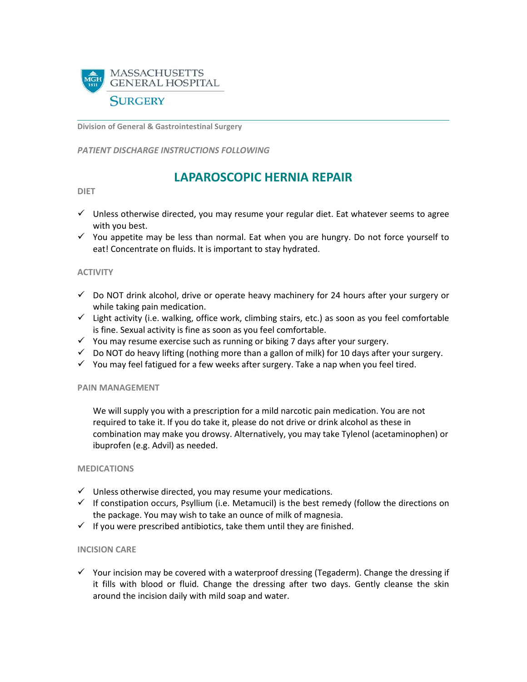

**Division of General & Gastrointestinal Surgery**

*PATIENT DISCHARGE INSTRUCTIONS FOLLOWING* 

# **LAPAROSCOPIC HERNIA REPAIR**

**DIET**

- $\checkmark$  Unless otherwise directed, you may resume your regular diet. Eat whatever seems to agree with you best.
- $\checkmark$  You appetite may be less than normal. Eat when you are hungry. Do not force yourself to eat! Concentrate on fluids. It is important to stay hydrated.

### **ACTIVITY**

- $\checkmark$  Do NOT drink alcohol, drive or operate heavy machinery for 24 hours after your surgery or while taking pain medication.
- $\checkmark$  Light activity (i.e. walking, office work, climbing stairs, etc.) as soon as you feel comfortable is fine. Sexual activity is fine as soon as you feel comfortable.
- $\checkmark$  You may resume exercise such as running or biking 7 days after your surgery.
- $\checkmark$  Do NOT do heavy lifting (nothing more than a gallon of milk) for 10 days after your surgery.
- $\checkmark$  You may feel fatigued for a few weeks after surgery. Take a nap when you feel tired.

### **PAIN MANAGEMENT**

We will supply you with a prescription for a mild narcotic pain medication. You are not required to take it. If you do take it, please do not drive or drink alcohol as these in combination may make you drowsy. Alternatively, you may take Tylenol (acetaminophen) or ibuprofen (e.g. Advil) as needed.

### **MEDICATIONS**

- $\checkmark$  Unless otherwise directed, you may resume your medications.
- $\checkmark$  If constipation occurs, Psyllium (i.e. Metamucil) is the best remedy (follow the directions on the package. You may wish to take an ounce of milk of magnesia.
- $\checkmark$  If you were prescribed antibiotics, take them until they are finished.

### **INCISION CARE**

 $\checkmark$  Your incision may be covered with a waterproof dressing (Tegaderm). Change the dressing if it fills with blood or fluid. Change the dressing after two days. Gently cleanse the skin around the incision daily with mild soap and water.